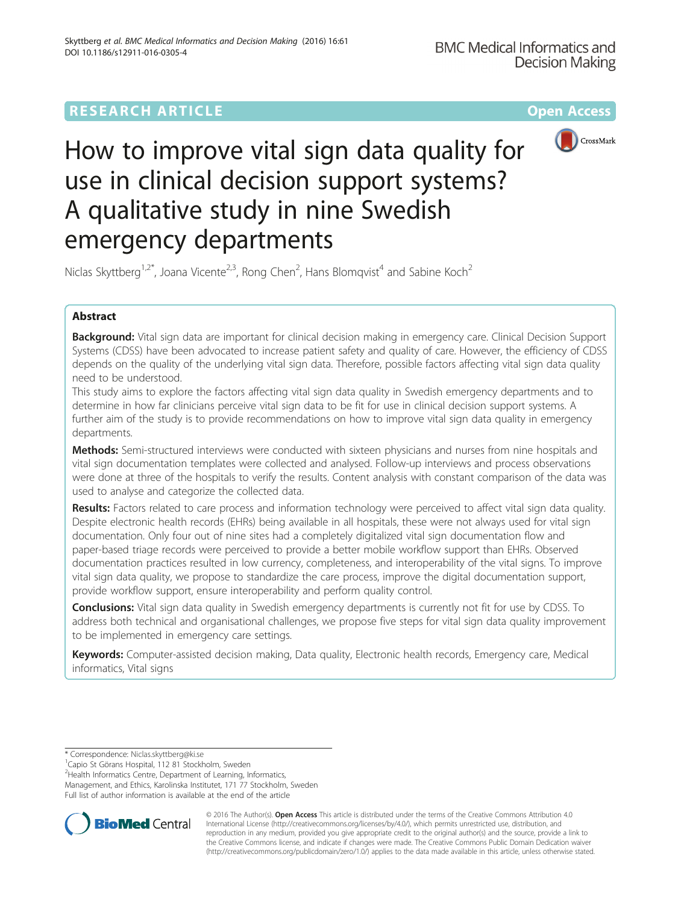# **RESEARCH ARTICLE Example 2014 12:30 The Company Access** (RESEARCH ARTICLE



# How to improve vital sign data quality for use in clinical decision support systems? A qualitative study in nine Swedish emergency departments

Niclas Skyttberg<sup>1,2\*</sup>, Joana Vicente<sup>2,3</sup>, Rong Chen<sup>2</sup>, Hans Blomqvist<sup>4</sup> and Sabine Koch<sup>2</sup>

# Abstract

Background: Vital sign data are important for clinical decision making in emergency care. Clinical Decision Support Systems (CDSS) have been advocated to increase patient safety and quality of care. However, the efficiency of CDSS depends on the quality of the underlying vital sign data. Therefore, possible factors affecting vital sign data quality need to be understood.

This study aims to explore the factors affecting vital sign data quality in Swedish emergency departments and to determine in how far clinicians perceive vital sign data to be fit for use in clinical decision support systems. A further aim of the study is to provide recommendations on how to improve vital sign data quality in emergency departments.

Methods: Semi-structured interviews were conducted with sixteen physicians and nurses from nine hospitals and vital sign documentation templates were collected and analysed. Follow-up interviews and process observations were done at three of the hospitals to verify the results. Content analysis with constant comparison of the data was used to analyse and categorize the collected data.

Results: Factors related to care process and information technology were perceived to affect vital sign data quality. Despite electronic health records (EHRs) being available in all hospitals, these were not always used for vital sign documentation. Only four out of nine sites had a completely digitalized vital sign documentation flow and paper-based triage records were perceived to provide a better mobile workflow support than EHRs. Observed documentation practices resulted in low currency, completeness, and interoperability of the vital signs. To improve vital sign data quality, we propose to standardize the care process, improve the digital documentation support, provide workflow support, ensure interoperability and perform quality control.

**Conclusions:** Vital sign data quality in Swedish emergency departments is currently not fit for use by CDSS. To address both technical and organisational challenges, we propose five steps for vital sign data quality improvement to be implemented in emergency care settings.

Keywords: Computer-assisted decision making, Data quality, Electronic health records, Emergency care, Medical informatics, Vital signs

<sup>2</sup> Health Informatics Centre, Department of Learning, Informatics,

Management, and Ethics, Karolinska Institutet, 171 77 Stockholm, Sweden Full list of author information is available at the end of the article



© 2016 The Author(s). Open Access This article is distributed under the terms of the Creative Commons Attribution 4.0 International License [\(http://creativecommons.org/licenses/by/4.0/](http://creativecommons.org/licenses/by/4.0/)), which permits unrestricted use, distribution, and reproduction in any medium, provided you give appropriate credit to the original author(s) and the source, provide a link to the Creative Commons license, and indicate if changes were made. The Creative Commons Public Domain Dedication waiver [\(http://creativecommons.org/publicdomain/zero/1.0/](http://creativecommons.org/publicdomain/zero/1.0/)) applies to the data made available in this article, unless otherwise stated.

<sup>\*</sup> Correspondence: [Niclas.skyttberg@ki.se](mailto:Niclas.skyttberg@ki.se) <sup>1</sup>

<sup>&</sup>lt;sup>1</sup>Capio St Görans Hospital, 112 81 Stockholm, Sweden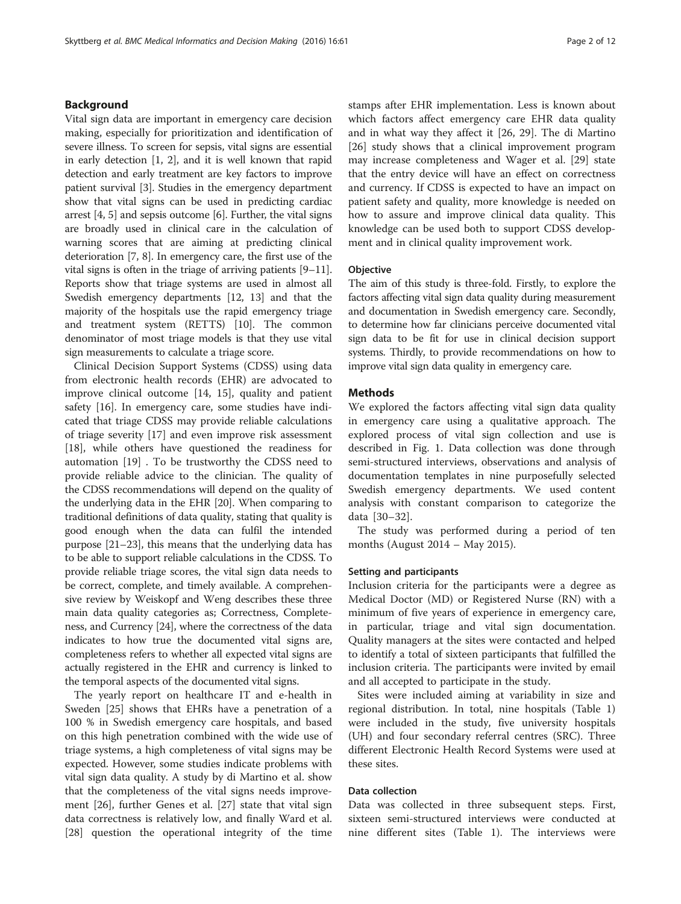# Background

Vital sign data are important in emergency care decision making, especially for prioritization and identification of severe illness. To screen for sepsis, vital signs are essential in early detection [[1](#page-10-0), [2](#page-10-0)], and it is well known that rapid detection and early treatment are key factors to improve patient survival [\[3](#page-10-0)]. Studies in the emergency department show that vital signs can be used in predicting cardiac arrest [\[4, 5](#page-10-0)] and sepsis outcome [\[6](#page-10-0)]. Further, the vital signs are broadly used in clinical care in the calculation of warning scores that are aiming at predicting clinical deterioration [\[7](#page-10-0), [8](#page-10-0)]. In emergency care, the first use of the vital signs is often in the triage of arriving patients [\[9](#page-10-0)–[11](#page-10-0)]. Reports show that triage systems are used in almost all Swedish emergency departments [[12](#page-10-0), [13](#page-10-0)] and that the majority of the hospitals use the rapid emergency triage and treatment system (RETTS) [\[10\]](#page-10-0). The common denominator of most triage models is that they use vital sign measurements to calculate a triage score.

Clinical Decision Support Systems (CDSS) using data from electronic health records (EHR) are advocated to improve clinical outcome [[14, 15\]](#page-10-0), quality and patient safety [\[16\]](#page-10-0). In emergency care, some studies have indicated that triage CDSS may provide reliable calculations of triage severity [\[17](#page-10-0)] and even improve risk assessment [[18\]](#page-10-0), while others have questioned the readiness for automation [[19](#page-10-0)] . To be trustworthy the CDSS need to provide reliable advice to the clinician. The quality of the CDSS recommendations will depend on the quality of the underlying data in the EHR [\[20](#page-10-0)]. When comparing to traditional definitions of data quality, stating that quality is good enough when the data can fulfil the intended purpose [\[21](#page-10-0)–[23](#page-10-0)], this means that the underlying data has to be able to support reliable calculations in the CDSS. To provide reliable triage scores, the vital sign data needs to be correct, complete, and timely available. A comprehensive review by Weiskopf and Weng describes these three main data quality categories as; Correctness, Completeness, and Currency [\[24](#page-10-0)], where the correctness of the data indicates to how true the documented vital signs are, completeness refers to whether all expected vital signs are actually registered in the EHR and currency is linked to the temporal aspects of the documented vital signs.

The yearly report on healthcare IT and e-health in Sweden [[25](#page-10-0)] shows that EHRs have a penetration of a 100 % in Swedish emergency care hospitals, and based on this high penetration combined with the wide use of triage systems, a high completeness of vital signs may be expected. However, some studies indicate problems with vital sign data quality. A study by di Martino et al. show that the completeness of the vital signs needs improvement [[26\]](#page-10-0), further Genes et al. [\[27](#page-10-0)] state that vital sign data correctness is relatively low, and finally Ward et al. [[28\]](#page-10-0) question the operational integrity of the time

stamps after EHR implementation. Less is known about which factors affect emergency care EHR data quality and in what way they affect it [[26](#page-10-0), [29](#page-10-0)]. The di Martino [[26\]](#page-10-0) study shows that a clinical improvement program may increase completeness and Wager et al. [\[29](#page-10-0)] state that the entry device will have an effect on correctness and currency. If CDSS is expected to have an impact on patient safety and quality, more knowledge is needed on how to assure and improve clinical data quality. This knowledge can be used both to support CDSS development and in clinical quality improvement work.

#### **Objective**

The aim of this study is three-fold. Firstly, to explore the factors affecting vital sign data quality during measurement and documentation in Swedish emergency care. Secondly, to determine how far clinicians perceive documented vital sign data to be fit for use in clinical decision support systems. Thirdly, to provide recommendations on how to improve vital sign data quality in emergency care.

# **Methods**

We explored the factors affecting vital sign data quality in emergency care using a qualitative approach. The explored process of vital sign collection and use is described in Fig. [1](#page-2-0). Data collection was done through semi-structured interviews, observations and analysis of documentation templates in nine purposefully selected Swedish emergency departments. We used content analysis with constant comparison to categorize the data [\[30](#page-10-0)–[32](#page-10-0)].

The study was performed during a period of ten months (August 2014 – May 2015).

# Setting and participants

Inclusion criteria for the participants were a degree as Medical Doctor (MD) or Registered Nurse (RN) with a minimum of five years of experience in emergency care, in particular, triage and vital sign documentation. Quality managers at the sites were contacted and helped to identify a total of sixteen participants that fulfilled the inclusion criteria. The participants were invited by email and all accepted to participate in the study.

Sites were included aiming at variability in size and regional distribution. In total, nine hospitals (Table [1](#page-2-0)) were included in the study, five university hospitals (UH) and four secondary referral centres (SRC). Three different Electronic Health Record Systems were used at these sites.

# Data collection

Data was collected in three subsequent steps. First, sixteen semi-structured interviews were conducted at nine different sites (Table [1](#page-2-0)). The interviews were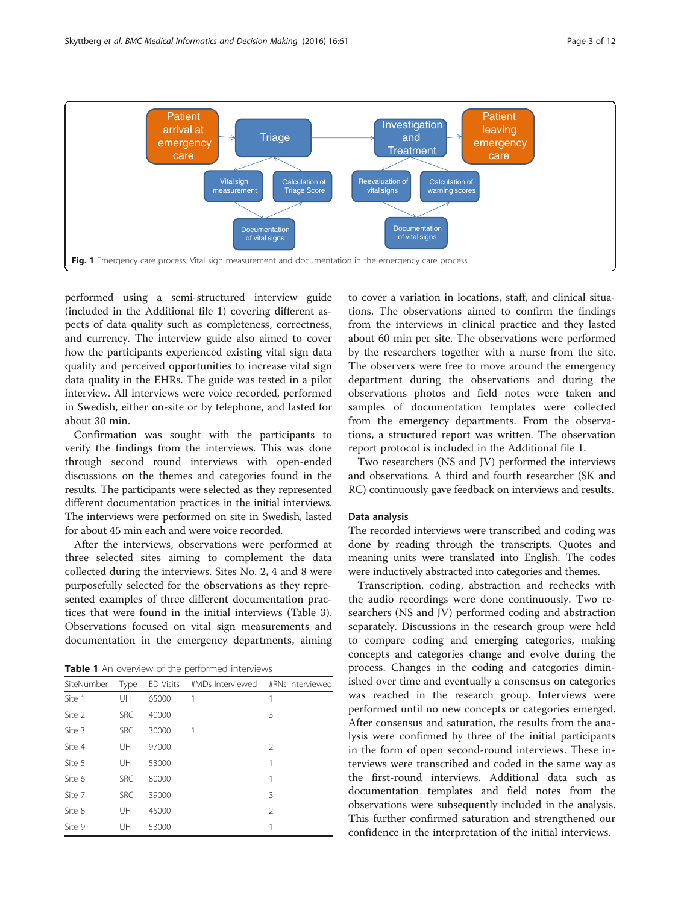<span id="page-2-0"></span>

performed using a semi-structured interview guide (included in the Additional file [1\)](#page-9-0) covering different aspects of data quality such as completeness, correctness, and currency. The interview guide also aimed to cover how the participants experienced existing vital sign data quality and perceived opportunities to increase vital sign data quality in the EHRs. The guide was tested in a pilot interview. All interviews were voice recorded, performed in Swedish, either on-site or by telephone, and lasted for about 30 min.

Confirmation was sought with the participants to verify the findings from the interviews. This was done through second round interviews with open-ended discussions on the themes and categories found in the results. The participants were selected as they represented different documentation practices in the initial interviews. The interviews were performed on site in Swedish, lasted for about 45 min each and were voice recorded.

After the interviews, observations were performed at three selected sites aiming to complement the data collected during the interviews. Sites No. 2, 4 and 8 were purposefully selected for the observations as they represented examples of three different documentation practices that were found in the initial interviews (Table [3](#page-5-0)). Observations focused on vital sign measurements and documentation in the emergency departments, aiming

Table 1 An overview of the performed interviews

| SiteNumber | Type       |       | ED Visits #MDs Interviewed | #RNs Interviewed |
|------------|------------|-------|----------------------------|------------------|
| Site 1     | UH         | 65000 |                            |                  |
| Site 2     | <b>SRC</b> | 40000 |                            | 3                |
| Site 3     | <b>SRC</b> | 30000 |                            |                  |
| Site 4     | UH         | 97000 |                            | $\mathcal{L}$    |
| Site 5     | UH         | 53000 |                            |                  |
| Site 6     | <b>SRC</b> | 80000 |                            |                  |
| Site 7     | <b>SRC</b> | 39000 |                            | 3                |
| Site 8     | UH         | 45000 |                            | 2                |
| Site 9     | UH         | 53000 |                            |                  |

to cover a variation in locations, staff, and clinical situations. The observations aimed to confirm the findings from the interviews in clinical practice and they lasted about 60 min per site. The observations were performed by the researchers together with a nurse from the site. The observers were free to move around the emergency department during the observations and during the observations photos and field notes were taken and samples of documentation templates were collected from the emergency departments. From the observations, a structured report was written. The observation report protocol is included in the Additional file [1.](#page-9-0)

Two researchers (NS and JV) performed the interviews and observations. A third and fourth researcher (SK and RC) continuously gave feedback on interviews and results.

## Data analysis

The recorded interviews were transcribed and coding was done by reading through the transcripts. Quotes and meaning units were translated into English. The codes were inductively abstracted into categories and themes.

Transcription, coding, abstraction and rechecks with the audio recordings were done continuously. Two researchers (NS and JV) performed coding and abstraction separately. Discussions in the research group were held to compare coding and emerging categories, making concepts and categories change and evolve during the process. Changes in the coding and categories diminished over time and eventually a consensus on categories was reached in the research group. Interviews were performed until no new concepts or categories emerged. After consensus and saturation, the results from the analysis were confirmed by three of the initial participants in the form of open second-round interviews. These interviews were transcribed and coded in the same way as the first-round interviews. Additional data such as documentation templates and field notes from the observations were subsequently included in the analysis. This further confirmed saturation and strengthened our confidence in the interpretation of the initial interviews.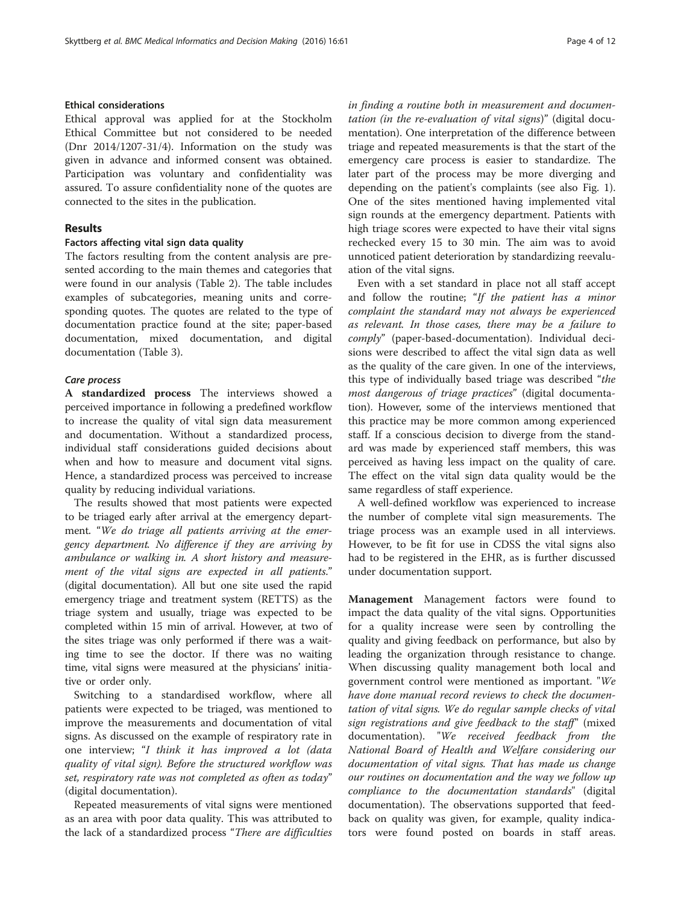# Ethical considerations

Ethical approval was applied for at the Stockholm Ethical Committee but not considered to be needed (Dnr 2014/1207-31/4). Information on the study was given in advance and informed consent was obtained. Participation was voluntary and confidentiality was assured. To assure confidentiality none of the quotes are connected to the sites in the publication.

# Results

# Factors affecting vital sign data quality

The factors resulting from the content analysis are presented according to the main themes and categories that were found in our analysis (Table [2](#page-4-0)). The table includes examples of subcategories, meaning units and corresponding quotes. The quotes are related to the type of documentation practice found at the site; paper-based documentation, mixed documentation, and digital documentation (Table [3\)](#page-5-0).

A standardized process The interviews showed a perceived importance in following a predefined workflow to increase the quality of vital sign data measurement and documentation. Without a standardized process, individual staff considerations guided decisions about when and how to measure and document vital signs. Hence, a standardized process was perceived to increase quality by reducing individual variations.

The results showed that most patients were expected to be triaged early after arrival at the emergency department. "We do triage all patients arriving at the emergency department. No difference if they are arriving by ambulance or walking in. A short history and measurement of the vital signs are expected in all patients." (digital documentation). All but one site used the rapid emergency triage and treatment system (RETTS) as the triage system and usually, triage was expected to be completed within 15 min of arrival. However, at two of the sites triage was only performed if there was a waiting time to see the doctor. If there was no waiting time, vital signs were measured at the physicians' initiative or order only.

Switching to a standardised workflow, where all patients were expected to be triaged, was mentioned to improve the measurements and documentation of vital signs. As discussed on the example of respiratory rate in one interview; "I think it has improved a lot (data quality of vital sign). Before the structured workflow was set, respiratory rate was not completed as often as today" (digital documentation).

Repeated measurements of vital signs were mentioned as an area with poor data quality. This was attributed to the lack of a standardized process "There are difficulties

in finding a routine both in measurement and documentation (in the re-evaluation of vital signs)" (digital documentation). One interpretation of the difference between triage and repeated measurements is that the start of the emergency care process is easier to standardize. The later part of the process may be more diverging and depending on the patient's complaints (see also Fig. [1](#page-2-0)). One of the sites mentioned having implemented vital sign rounds at the emergency department. Patients with high triage scores were expected to have their vital signs rechecked every 15 to 30 min. The aim was to avoid unnoticed patient deterioration by standardizing reevaluation of the vital signs.

Even with a set standard in place not all staff accept and follow the routine; "If the patient has a minor complaint the standard may not always be experienced as relevant. In those cases, there may be a failure to comply" (paper-based-documentation). Individual decisions were described to affect the vital sign data as well as the quality of the care given. In one of the interviews, this type of individually based triage was described "the most dangerous of triage practices" (digital documentation). However, some of the interviews mentioned that this practice may be more common among experienced staff. If a conscious decision to diverge from the standard was made by experienced staff members, this was perceived as having less impact on the quality of care. The effect on the vital sign data quality would be the same regardless of staff experience.

A well-defined workflow was experienced to increase the number of complete vital sign measurements. The triage process was an example used in all interviews. However, to be fit for use in CDSS the vital signs also had to be registered in the EHR, as is further discussed under documentation support.

Management Management factors were found to impact the data quality of the vital signs. Opportunities for a quality increase were seen by controlling the quality and giving feedback on performance, but also by leading the organization through resistance to change. When discussing quality management both local and government control were mentioned as important. "We have done manual record reviews to check the documentation of vital signs. We do regular sample checks of vital sign registrations and give feedback to the staff" (mixed documentation). "We received feedback from the National Board of Health and Welfare considering our documentation of vital signs. That has made us change our routines on documentation and the way we follow up compliance to the documentation standards" (digital documentation). The observations supported that feedback on quality was given, for example, quality indicators were found posted on boards in staff areas.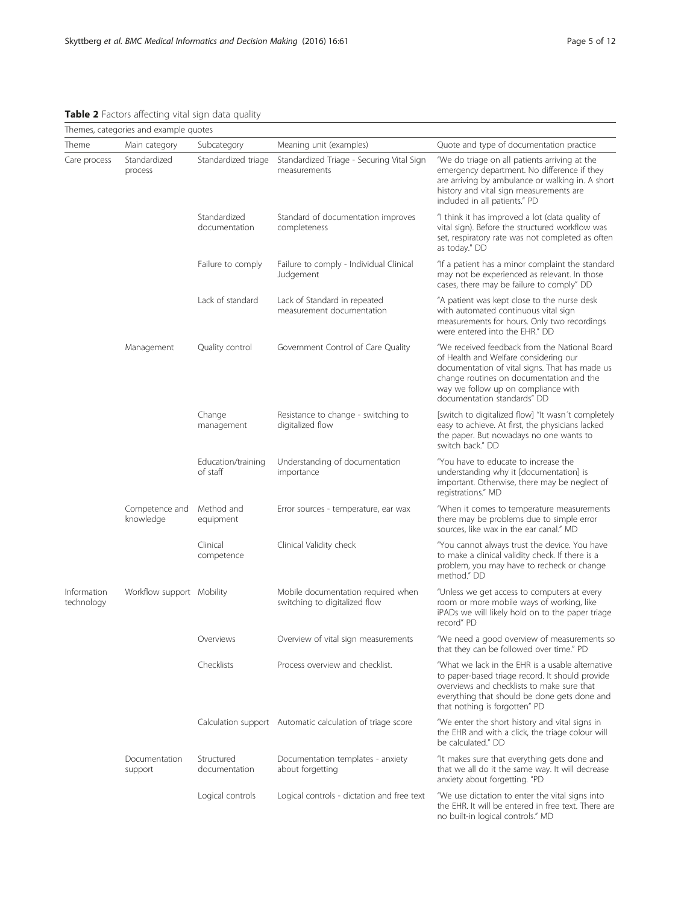| Themes, categories and example quotes |                             |                                |                                                                     |                                                                                                                                                                                                                                                            |  |  |  |
|---------------------------------------|-----------------------------|--------------------------------|---------------------------------------------------------------------|------------------------------------------------------------------------------------------------------------------------------------------------------------------------------------------------------------------------------------------------------------|--|--|--|
| Theme                                 | Main category               | Subcategory                    | Meaning unit (examples)                                             | Quote and type of documentation practice                                                                                                                                                                                                                   |  |  |  |
| Care process                          | Standardized<br>process     | Standardized triage            | Standardized Triage - Securing Vital Sign<br>measurements           | "We do triage on all patients arriving at the<br>emergency department. No difference if they<br>are arriving by ambulance or walking in. A short<br>history and vital sign measurements are<br>included in all patients." PD                               |  |  |  |
|                                       |                             | Standardized<br>documentation  | Standard of documentation improves<br>completeness                  | "I think it has improved a lot (data quality of<br>vital sign). Before the structured workflow was<br>set, respiratory rate was not completed as often<br>as today." DD                                                                                    |  |  |  |
|                                       |                             | Failure to comply              | Failure to comply - Individual Clinical<br>Judgement                | "If a patient has a minor complaint the standard<br>may not be experienced as relevant. In those<br>cases, there may be failure to comply" DD                                                                                                              |  |  |  |
|                                       |                             | Lack of standard               | Lack of Standard in repeated<br>measurement documentation           | "A patient was kept close to the nurse desk<br>with automated continuous vital sign<br>measurements for hours. Only two recordings<br>were entered into the EHR." DD                                                                                       |  |  |  |
|                                       | Management                  | Quality control                | Government Control of Care Quality                                  | "We received feedback from the National Board<br>of Health and Welfare considering our<br>documentation of vital signs. That has made us<br>change routines on documentation and the<br>way we follow up on compliance with<br>documentation standards" DD |  |  |  |
|                                       |                             | Change<br>management           | Resistance to change - switching to<br>digitalized flow             | [switch to digitalized flow] "It wasn't completely<br>easy to achieve. At first, the physicians lacked<br>the paper. But nowadays no one wants to<br>switch back." DD                                                                                      |  |  |  |
|                                       |                             | Education/training<br>of staff | Understanding of documentation<br>importance                        | "You have to educate to increase the<br>understanding why it [documentation] is<br>important. Otherwise, there may be neglect of<br>registrations." MD                                                                                                     |  |  |  |
|                                       | Competence and<br>knowledge | Method and<br>equipment        | Error sources - temperature, ear wax                                | "When it comes to temperature measurements<br>there may be problems due to simple error<br>sources, like wax in the ear canal." MD                                                                                                                         |  |  |  |
|                                       |                             | Clinical<br>competence         | Clinical Validity check                                             | "You cannot always trust the device. You have<br>to make a clinical validity check. If there is a<br>problem, you may have to recheck or change<br>method." DD                                                                                             |  |  |  |
| Information<br>technology             | Workflow support Mobility   |                                | Mobile documentation required when<br>switching to digitalized flow | "Unless we get access to computers at every<br>room or more mobile ways of working, like<br>iPADs we will likely hold on to the paper triage<br>record" PD                                                                                                 |  |  |  |
|                                       |                             | Overviews                      | Overview of vital sign measurements                                 | "We need a good overview of measurements so<br>that they can be followed over time." PD                                                                                                                                                                    |  |  |  |
|                                       |                             | Checklists                     | Process overview and checklist.                                     | "What we lack in the EHR is a usable alternative<br>to paper-based triage record. It should provide<br>overviews and checklists to make sure that<br>everything that should be done gets done and<br>that nothing is forgotten" PD                         |  |  |  |
|                                       |                             |                                | Calculation support Automatic calculation of triage score           | "We enter the short history and vital signs in<br>the EHR and with a click, the triage colour will<br>be calculated." DD                                                                                                                                   |  |  |  |
|                                       | Documentation<br>support    | Structured<br>documentation    | Documentation templates - anxiety<br>about forgetting               | "It makes sure that everything gets done and<br>that we all do it the same way. It will decrease                                                                                                                                                           |  |  |  |

# <span id="page-4-0"></span>Table 2 Factors affecting vital sign data quality

Logical controls Logical controls - dictation and free text "We use dictation to enter the vital signs into the EHR. It will be entered in free text. There are no built-in logical controls." MD

anxiety about forgetting. "PD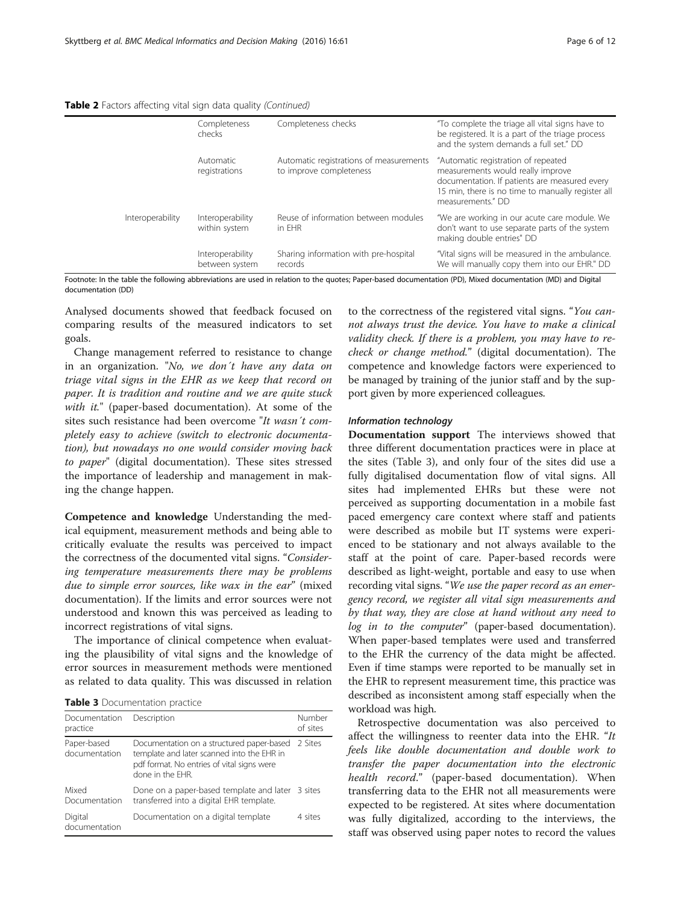<span id="page-5-0"></span>

|  |  |  | Table 2 Factors affecting vital sign data quality (Continued) |
|--|--|--|---------------------------------------------------------------|
|  |  |  |                                                               |

|                  | Completeness<br>checks             | Completeness checks                                                | "To complete the triage all vital signs have to<br>be registered. It is a part of the triage process<br>and the system demands a full set." DD                                                      |
|------------------|------------------------------------|--------------------------------------------------------------------|-----------------------------------------------------------------------------------------------------------------------------------------------------------------------------------------------------|
|                  | Automatic<br>registrations         | Automatic registrations of measurements<br>to improve completeness | "Automatic registration of repeated<br>measurements would really improve<br>documentation. If patients are measured every<br>15 min, there is no time to manually register all<br>measurements." DD |
| Interoperability | Interoperability<br>within system  | Reuse of information between modules<br>in EHR                     | "We are working in our acute care module. We<br>don't want to use separate parts of the system<br>making double entries" DD                                                                         |
|                  | Interoperability<br>between system | Sharing information with pre-hospital<br>records                   | "Vital signs will be measured in the ambulance.<br>We will manually copy them into our EHR." DD                                                                                                     |
|                  |                                    |                                                                    |                                                                                                                                                                                                     |

Footnote: In the table the following abbreviations are used in relation to the quotes; Paper-based documentation (PD), Mixed documentation (MD) and Digital documentation (DD)

Analysed documents showed that feedback focused on comparing results of the measured indicators to set goals.

Change management referred to resistance to change in an organization. "No, we don´t have any data on triage vital signs in the EHR as we keep that record on paper. It is tradition and routine and we are quite stuck with it." (paper-based documentation). At some of the sites such resistance had been overcome "It wasn´t completely easy to achieve (switch to electronic documentation), but nowadays no one would consider moving back to paper" (digital documentation). These sites stressed the importance of leadership and management in making the change happen.

Competence and knowledge Understanding the medical equipment, measurement methods and being able to critically evaluate the results was perceived to impact the correctness of the documented vital signs. "Considering temperature measurements there may be problems due to simple error sources, like wax in the ear" (mixed documentation). If the limits and error sources were not understood and known this was perceived as leading to incorrect registrations of vital signs.

The importance of clinical competence when evaluating the plausibility of vital signs and the knowledge of error sources in measurement methods were mentioned as related to data quality. This was discussed in relation

Table 3 Documentation practice

| Documentation<br>practice    | Description                                                                                                                                                       | Number<br>of sites |
|------------------------------|-------------------------------------------------------------------------------------------------------------------------------------------------------------------|--------------------|
| Paper-based<br>documentation | Documentation on a structured paper-based 2 Sites<br>template and later scanned into the EHR in<br>pdf format. No entries of vital signs were<br>done in the FHR. |                    |
| Mixed<br>Documentation       | Done on a paper-based template and later 3 sites<br>transferred into a digital EHR template.                                                                      |                    |
| Digital<br>documentation     | Documentation on a digital template                                                                                                                               | 4 sites            |

to the correctness of the registered vital signs. "You cannot always trust the device. You have to make a clinical validity check. If there is a problem, you may have to recheck or change method." (digital documentation). The competence and knowledge factors were experienced to be managed by training of the junior staff and by the support given by more experienced colleagues.

Documentation support The interviews showed that three different documentation practices were in place at the sites (Table 3), and only four of the sites did use a fully digitalised documentation flow of vital signs. All sites had implemented EHRs but these were not perceived as supporting documentation in a mobile fast paced emergency care context where staff and patients were described as mobile but IT systems were experienced to be stationary and not always available to the staff at the point of care. Paper-based records were described as light-weight, portable and easy to use when recording vital signs. "We use the paper record as an emergency record, we register all vital sign measurements and by that way, they are close at hand without any need to log in to the computer" (paper-based documentation). When paper-based templates were used and transferred to the EHR the currency of the data might be affected. Even if time stamps were reported to be manually set in the EHR to represent measurement time, this practice was described as inconsistent among staff especially when the workload was high.

Retrospective documentation was also perceived to affect the willingness to reenter data into the EHR. "It feels like double documentation and double work to transfer the paper documentation into the electronic health record." (paper-based documentation). When transferring data to the EHR not all measurements were expected to be registered. At sites where documentation was fully digitalized, according to the interviews, the staff was observed using paper notes to record the values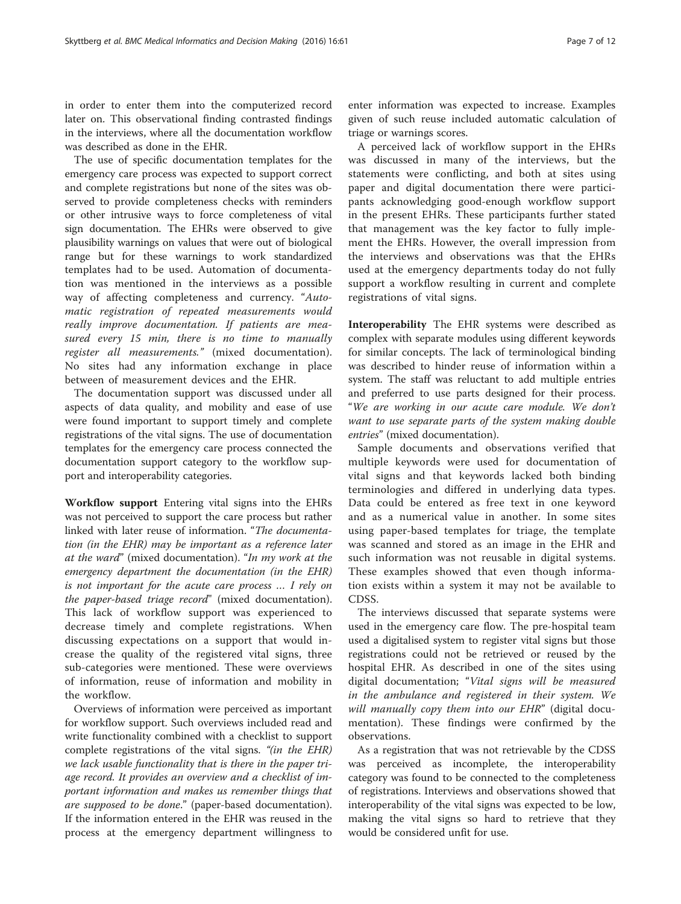in order to enter them into the computerized record later on. This observational finding contrasted findings in the interviews, where all the documentation workflow was described as done in the EHR.

The use of specific documentation templates for the emergency care process was expected to support correct and complete registrations but none of the sites was observed to provide completeness checks with reminders or other intrusive ways to force completeness of vital sign documentation. The EHRs were observed to give plausibility warnings on values that were out of biological range but for these warnings to work standardized templates had to be used. Automation of documentation was mentioned in the interviews as a possible way of affecting completeness and currency. "Automatic registration of repeated measurements would really improve documentation. If patients are measured every 15 min, there is no time to manually register all measurements." (mixed documentation). No sites had any information exchange in place between of measurement devices and the EHR.

The documentation support was discussed under all aspects of data quality, and mobility and ease of use were found important to support timely and complete registrations of the vital signs. The use of documentation templates for the emergency care process connected the documentation support category to the workflow support and interoperability categories.

Workflow support Entering vital signs into the EHRs was not perceived to support the care process but rather linked with later reuse of information. "The documentation (in the EHR) may be important as a reference later at the ward" (mixed documentation). "In my work at the emergency department the documentation (in the EHR) is not important for the acute care process … I rely on the paper-based triage record" (mixed documentation). This lack of workflow support was experienced to decrease timely and complete registrations. When discussing expectations on a support that would increase the quality of the registered vital signs, three sub-categories were mentioned. These were overviews of information, reuse of information and mobility in the workflow.

Overviews of information were perceived as important for workflow support. Such overviews included read and write functionality combined with a checklist to support complete registrations of the vital signs. "(in the EHR) we lack usable functionality that is there in the paper triage record. It provides an overview and a checklist of important information and makes us remember things that are supposed to be done." (paper-based documentation). If the information entered in the EHR was reused in the process at the emergency department willingness to enter information was expected to increase. Examples given of such reuse included automatic calculation of triage or warnings scores.

A perceived lack of workflow support in the EHRs was discussed in many of the interviews, but the statements were conflicting, and both at sites using paper and digital documentation there were participants acknowledging good-enough workflow support in the present EHRs. These participants further stated that management was the key factor to fully implement the EHRs. However, the overall impression from the interviews and observations was that the EHRs used at the emergency departments today do not fully support a workflow resulting in current and complete registrations of vital signs.

Interoperability The EHR systems were described as complex with separate modules using different keywords for similar concepts. The lack of terminological binding was described to hinder reuse of information within a system. The staff was reluctant to add multiple entries and preferred to use parts designed for their process. "We are working in our acute care module. We don't want to use separate parts of the system making double entries" (mixed documentation).

Sample documents and observations verified that multiple keywords were used for documentation of vital signs and that keywords lacked both binding terminologies and differed in underlying data types. Data could be entered as free text in one keyword and as a numerical value in another. In some sites using paper-based templates for triage, the template was scanned and stored as an image in the EHR and such information was not reusable in digital systems. These examples showed that even though information exists within a system it may not be available to CDSS.

The interviews discussed that separate systems were used in the emergency care flow. The pre-hospital team used a digitalised system to register vital signs but those registrations could not be retrieved or reused by the hospital EHR. As described in one of the sites using digital documentation; "Vital signs will be measured in the ambulance and registered in their system. We will manually copy them into our EHR" (digital documentation). These findings were confirmed by the observations.

As a registration that was not retrievable by the CDSS was perceived as incomplete, the interoperability category was found to be connected to the completeness of registrations. Interviews and observations showed that interoperability of the vital signs was expected to be low, making the vital signs so hard to retrieve that they would be considered unfit for use.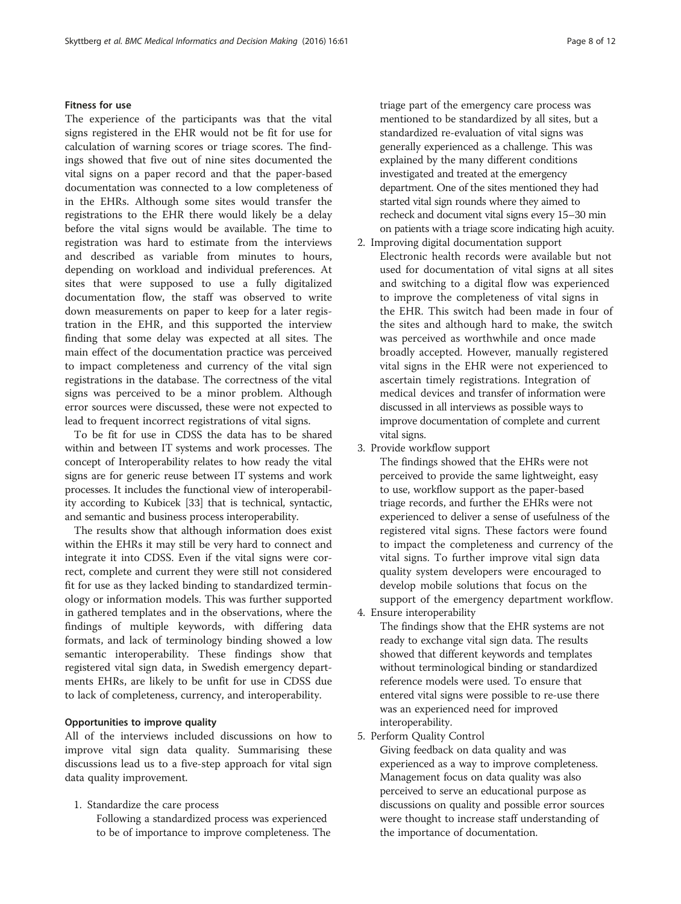# Fitness for use

The experience of the participants was that the vital signs registered in the EHR would not be fit for use for calculation of warning scores or triage scores. The findings showed that five out of nine sites documented the vital signs on a paper record and that the paper-based documentation was connected to a low completeness of in the EHRs. Although some sites would transfer the registrations to the EHR there would likely be a delay before the vital signs would be available. The time to registration was hard to estimate from the interviews and described as variable from minutes to hours, depending on workload and individual preferences. At sites that were supposed to use a fully digitalized documentation flow, the staff was observed to write down measurements on paper to keep for a later registration in the EHR, and this supported the interview finding that some delay was expected at all sites. The main effect of the documentation practice was perceived to impact completeness and currency of the vital sign registrations in the database. The correctness of the vital signs was perceived to be a minor problem. Although error sources were discussed, these were not expected to lead to frequent incorrect registrations of vital signs.

To be fit for use in CDSS the data has to be shared within and between IT systems and work processes. The concept of Interoperability relates to how ready the vital signs are for generic reuse between IT systems and work processes. It includes the functional view of interoperability according to Kubicek [\[33\]](#page-10-0) that is technical, syntactic, and semantic and business process interoperability.

The results show that although information does exist within the EHRs it may still be very hard to connect and integrate it into CDSS. Even if the vital signs were correct, complete and current they were still not considered fit for use as they lacked binding to standardized terminology or information models. This was further supported in gathered templates and in the observations, where the findings of multiple keywords, with differing data formats, and lack of terminology binding showed a low semantic interoperability. These findings show that registered vital sign data, in Swedish emergency departments EHRs, are likely to be unfit for use in CDSS due to lack of completeness, currency, and interoperability.

# Opportunities to improve quality

All of the interviews included discussions on how to improve vital sign data quality. Summarising these discussions lead us to a five-step approach for vital sign data quality improvement.

1. Standardize the care process

Following a standardized process was experienced to be of importance to improve completeness. The triage part of the emergency care process was mentioned to be standardized by all sites, but a standardized re-evaluation of vital signs was generally experienced as a challenge. This was explained by the many different conditions investigated and treated at the emergency department. One of the sites mentioned they had started vital sign rounds where they aimed to recheck and document vital signs every 15–30 min on patients with a triage score indicating high acuity.

- 2. Improving digital documentation support Electronic health records were available but not used for documentation of vital signs at all sites and switching to a digital flow was experienced to improve the completeness of vital signs in the EHR. This switch had been made in four of the sites and although hard to make, the switch was perceived as worthwhile and once made broadly accepted. However, manually registered vital signs in the EHR were not experienced to ascertain timely registrations. Integration of medical devices and transfer of information were discussed in all interviews as possible ways to improve documentation of complete and current vital signs.
- 3. Provide workflow support

The findings showed that the EHRs were not perceived to provide the same lightweight, easy to use, workflow support as the paper-based triage records, and further the EHRs were not experienced to deliver a sense of usefulness of the registered vital signs. These factors were found to impact the completeness and currency of the vital signs. To further improve vital sign data quality system developers were encouraged to develop mobile solutions that focus on the support of the emergency department workflow.

4. Ensure interoperability

The findings show that the EHR systems are not ready to exchange vital sign data. The results showed that different keywords and templates without terminological binding or standardized reference models were used. To ensure that entered vital signs were possible to re-use there was an experienced need for improved interoperability.

5. Perform Quality Control

Giving feedback on data quality and was experienced as a way to improve completeness. Management focus on data quality was also perceived to serve an educational purpose as discussions on quality and possible error sources were thought to increase staff understanding of the importance of documentation.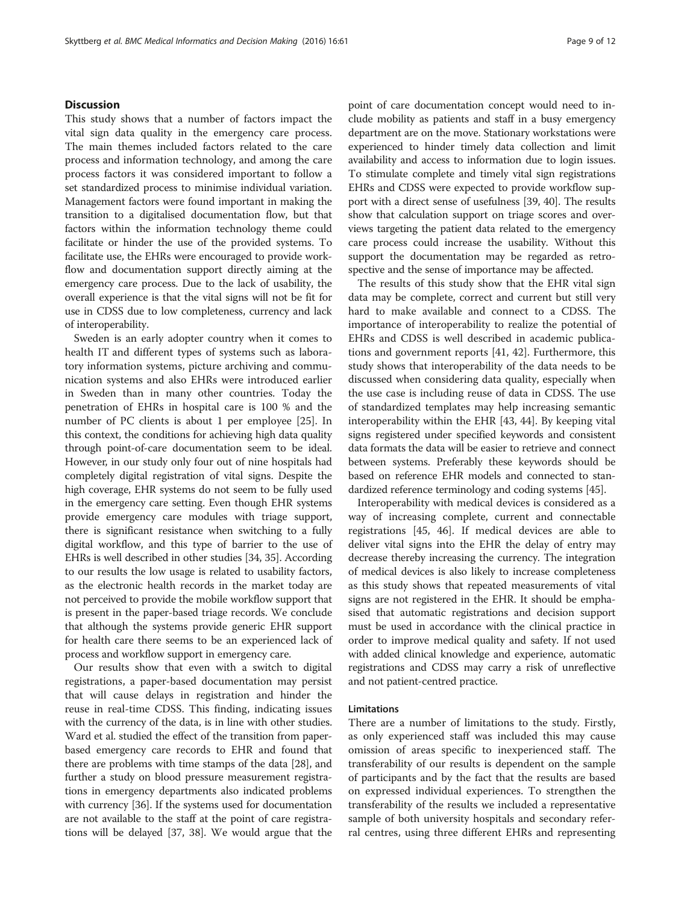# **Discussion**

This study shows that a number of factors impact the vital sign data quality in the emergency care process. The main themes included factors related to the care process and information technology, and among the care process factors it was considered important to follow a set standardized process to minimise individual variation. Management factors were found important in making the transition to a digitalised documentation flow, but that factors within the information technology theme could facilitate or hinder the use of the provided systems. To facilitate use, the EHRs were encouraged to provide workflow and documentation support directly aiming at the emergency care process. Due to the lack of usability, the overall experience is that the vital signs will not be fit for use in CDSS due to low completeness, currency and lack of interoperability.

Sweden is an early adopter country when it comes to health IT and different types of systems such as laboratory information systems, picture archiving and communication systems and also EHRs were introduced earlier in Sweden than in many other countries. Today the penetration of EHRs in hospital care is 100 % and the number of PC clients is about 1 per employee [[25](#page-10-0)]. In this context, the conditions for achieving high data quality through point-of-care documentation seem to be ideal. However, in our study only four out of nine hospitals had completely digital registration of vital signs. Despite the high coverage, EHR systems do not seem to be fully used in the emergency care setting. Even though EHR systems provide emergency care modules with triage support, there is significant resistance when switching to a fully digital workflow, and this type of barrier to the use of EHRs is well described in other studies [\[34, 35](#page-10-0)]. According to our results the low usage is related to usability factors, as the electronic health records in the market today are not perceived to provide the mobile workflow support that is present in the paper-based triage records. We conclude that although the systems provide generic EHR support for health care there seems to be an experienced lack of process and workflow support in emergency care.

Our results show that even with a switch to digital registrations, a paper-based documentation may persist that will cause delays in registration and hinder the reuse in real-time CDSS. This finding, indicating issues with the currency of the data, is in line with other studies. Ward et al. studied the effect of the transition from paperbased emergency care records to EHR and found that there are problems with time stamps of the data [[28\]](#page-10-0), and further a study on blood pressure measurement registrations in emergency departments also indicated problems with currency [\[36\]](#page-10-0). If the systems used for documentation are not available to the staff at the point of care registrations will be delayed [[37](#page-10-0), [38](#page-10-0)]. We would argue that the point of care documentation concept would need to include mobility as patients and staff in a busy emergency department are on the move. Stationary workstations were experienced to hinder timely data collection and limit availability and access to information due to login issues. To stimulate complete and timely vital sign registrations EHRs and CDSS were expected to provide workflow support with a direct sense of usefulness [[39](#page-10-0), [40](#page-10-0)]. The results show that calculation support on triage scores and overviews targeting the patient data related to the emergency care process could increase the usability. Without this support the documentation may be regarded as retrospective and the sense of importance may be affected.

The results of this study show that the EHR vital sign data may be complete, correct and current but still very hard to make available and connect to a CDSS. The importance of interoperability to realize the potential of EHRs and CDSS is well described in academic publications and government reports [\[41](#page-10-0), [42](#page-10-0)]. Furthermore, this study shows that interoperability of the data needs to be discussed when considering data quality, especially when the use case is including reuse of data in CDSS. The use of standardized templates may help increasing semantic interoperability within the EHR [\[43](#page-10-0), [44](#page-11-0)]. By keeping vital signs registered under specified keywords and consistent data formats the data will be easier to retrieve and connect between systems. Preferably these keywords should be based on reference EHR models and connected to standardized reference terminology and coding systems [[45](#page-11-0)].

Interoperability with medical devices is considered as a way of increasing complete, current and connectable registrations [\[45](#page-11-0), [46](#page-11-0)]. If medical devices are able to deliver vital signs into the EHR the delay of entry may decrease thereby increasing the currency. The integration of medical devices is also likely to increase completeness as this study shows that repeated measurements of vital signs are not registered in the EHR. It should be emphasised that automatic registrations and decision support must be used in accordance with the clinical practice in order to improve medical quality and safety. If not used with added clinical knowledge and experience, automatic registrations and CDSS may carry a risk of unreflective and not patient-centred practice.

# Limitations

There are a number of limitations to the study. Firstly, as only experienced staff was included this may cause omission of areas specific to inexperienced staff. The transferability of our results is dependent on the sample of participants and by the fact that the results are based on expressed individual experiences. To strengthen the transferability of the results we included a representative sample of both university hospitals and secondary referral centres, using three different EHRs and representing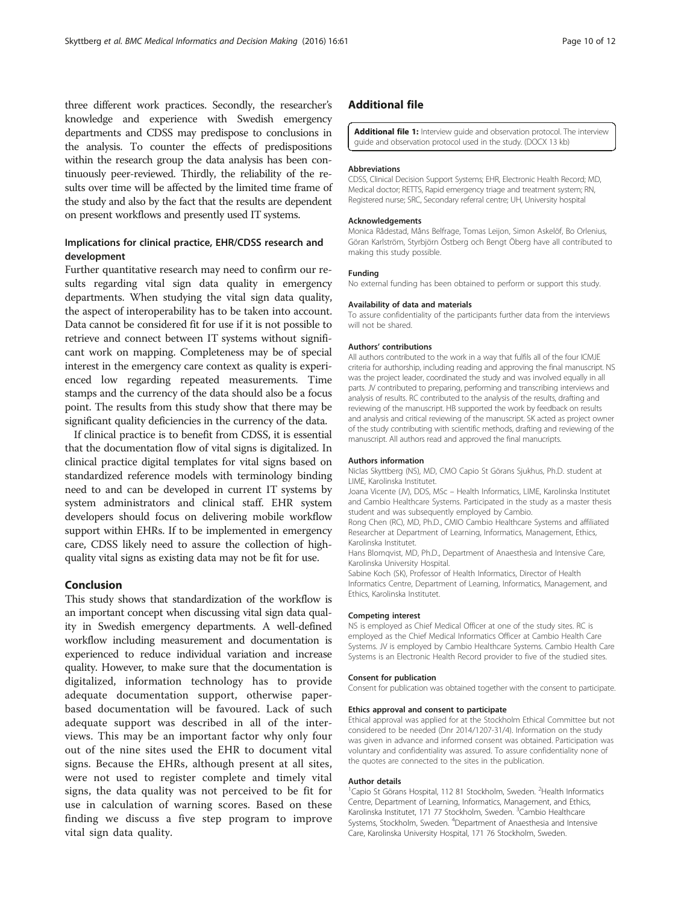<span id="page-9-0"></span>three different work practices. Secondly, the researcher's knowledge and experience with Swedish emergency departments and CDSS may predispose to conclusions in the analysis. To counter the effects of predispositions within the research group the data analysis has been continuously peer-reviewed. Thirdly, the reliability of the results over time will be affected by the limited time frame of the study and also by the fact that the results are dependent on present workflows and presently used IT systems.

# Implications for clinical practice, EHR/CDSS research and development

Further quantitative research may need to confirm our results regarding vital sign data quality in emergency departments. When studying the vital sign data quality, the aspect of interoperability has to be taken into account. Data cannot be considered fit for use if it is not possible to retrieve and connect between IT systems without significant work on mapping. Completeness may be of special interest in the emergency care context as quality is experienced low regarding repeated measurements. Time stamps and the currency of the data should also be a focus point. The results from this study show that there may be significant quality deficiencies in the currency of the data.

If clinical practice is to benefit from CDSS, it is essential that the documentation flow of vital signs is digitalized. In clinical practice digital templates for vital signs based on standardized reference models with terminology binding need to and can be developed in current IT systems by system administrators and clinical staff. EHR system developers should focus on delivering mobile workflow support within EHRs. If to be implemented in emergency care, CDSS likely need to assure the collection of highquality vital signs as existing data may not be fit for use.

# Conclusion

This study shows that standardization of the workflow is an important concept when discussing vital sign data quality in Swedish emergency departments. A well-defined workflow including measurement and documentation is experienced to reduce individual variation and increase quality. However, to make sure that the documentation is digitalized, information technology has to provide adequate documentation support, otherwise paperbased documentation will be favoured. Lack of such adequate support was described in all of the interviews. This may be an important factor why only four out of the nine sites used the EHR to document vital signs. Because the EHRs, although present at all sites, were not used to register complete and timely vital signs, the data quality was not perceived to be fit for use in calculation of warning scores. Based on these finding we discuss a five step program to improve vital sign data quality.

# Additional file

[Additional file 1:](dx.doi.org/10.1186/s12911-016-0305-4) Interview guide and observation protocol. The interview guide and observation protocol used in the study. (DOCX 13 kb)

#### Abbreviations

CDSS, Clinical Decision Support Systems; EHR, Electronic Health Record; MD, Medical doctor; RETTS, Rapid emergency triage and treatment system; RN, Registered nurse; SRC, Secondary referral centre; UH, University hospital

#### Acknowledgements

Monica Rådestad, Måns Belfrage, Tomas Leijon, Simon Askelöf, Bo Orlenius, Göran Karlström, Styrbjörn Östberg och Bengt Öberg have all contributed to making this study possible.

#### Funding

No external funding has been obtained to perform or support this study.

### Availability of data and materials

To assure confidentiality of the participants further data from the interviews will not be shared.

#### Authors' contributions

All authors contributed to the work in a way that fulfils all of the four ICMJE criteria for authorship, including reading and approving the final manuscript. NS was the project leader, coordinated the study and was involved equally in all parts. JV contributed to preparing, performing and transcribing interviews and analysis of results. RC contributed to the analysis of the results, drafting and reviewing of the manuscript. HB supported the work by feedback on results and analysis and critical reviewing of the manuscript. SK acted as project owner of the study contributing with scientific methods, drafting and reviewing of the manuscript. All authors read and approved the final manucripts.

#### Authors information

Niclas Skyttberg (NS), MD, CMO Capio St Görans Sjukhus, Ph.D. student at LIME, Karolinska Institutet.

Joana Vicente (JV), DDS, MSc – Health Informatics, LIME, Karolinska Institutet and Cambio Healthcare Systems. Participated in the study as a master thesis student and was subsequently employed by Cambio.

Rong Chen (RC), MD, Ph.D., CMIO Cambio Healthcare Systems and affiliated Researcher at Department of Learning, Informatics, Management, Ethics, Karolinska Institutet.

Hans Blomqvist, MD, Ph.D., Department of Anaesthesia and Intensive Care, Karolinska University Hospital.

Sabine Koch (SK), Professor of Health Informatics, Director of Health Informatics Centre, Department of Learning, Informatics, Management, and Ethics, Karolinska Institutet.

### Competing interest

NS is employed as Chief Medical Officer at one of the study sites. RC is employed as the Chief Medical Informatics Officer at Cambio Health Care Systems. JV is employed by Cambio Healthcare Systems. Cambio Health Care Systems is an Electronic Health Record provider to five of the studied sites.

# Consent for publication

Consent for publication was obtained together with the consent to participate.

#### Ethics approval and consent to participate

Ethical approval was applied for at the Stockholm Ethical Committee but not considered to be needed (Dnr 2014/1207-31/4). Information on the study was given in advance and informed consent was obtained. Participation was voluntary and confidentiality was assured. To assure confidentiality none of the quotes are connected to the sites in the publication.

#### Author details

<sup>1</sup> Capio St Görans Hospital, 112 81 Stockholm, Sweden. <sup>2</sup> Health Informatics Centre, Department of Learning, Informatics, Management, and Ethics, Karolinska Institutet, 171 77 Stockholm, Sweden. <sup>3</sup>Cambio Healthcare Systems, Stockholm, Sweden. <sup>4</sup>Department of Anaesthesia and Intensive Care, Karolinska University Hospital, 171 76 Stockholm, Sweden.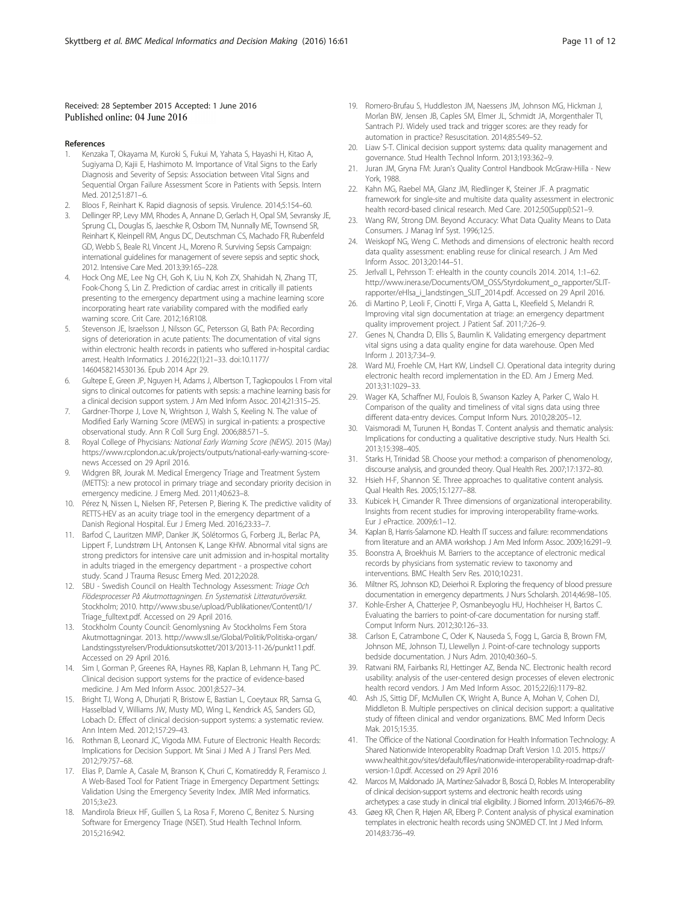## <span id="page-10-0"></span>Received: 28 September 2015 Accepted: 1 June 2016 Published online: 04 June 2016

#### References

- 1. Kenzaka T, Okayama M, Kuroki S, Fukui M, Yahata S, Hayashi H, Kitao A, Sugiyama D, Kajii E, Hashimoto M. Importance of Vital Signs to the Early Diagnosis and Severity of Sepsis: Association between Vital Signs and Sequential Organ Failure Assessment Score in Patients with Sepsis. Intern Med. 2012;51:871–6.
- 2. Bloos F, Reinhart K. Rapid diagnosis of sepsis. Virulence. 2014;5:154–60.
- Dellinger RP, Levy MM, Rhodes A, Annane D, Gerlach H, Opal SM, Sevransky JE, Sprung CL, Douglas IS, Jaeschke R, Osborn TM, Nunnally ME, Townsend SR, Reinhart K, Kleinpell RM, Angus DC, Deutschman CS, Machado FR, Rubenfeld GD, Webb S, Beale RJ, Vincent J-L, Moreno R. Surviving Sepsis Campaign: international guidelines for management of severe sepsis and septic shock, 2012. Intensive Care Med. 2013;39:165–228.
- 4. Hock Ong ME, Lee Ng CH, Goh K, Liu N, Koh ZX, Shahidah N, Zhang TT, Fook-Chong S, Lin Z. Prediction of cardiac arrest in critically ill patients presenting to the emergency department using a machine learning score incorporating heart rate variability compared with the modified early warning score. Crit Care. 2012;16:R108.
- 5. Stevenson JE, Israelsson J, Nilsson GC, Petersson GI, Bath PA: Recording signs of deterioration in acute patients: The documentation of vital signs within electronic health records in patients who suffered in-hospital cardiac arrest. Health Informatics J. 2016;22(1):21–33. doi[:10.1177/](http://dx.doi.org/10.1177/1460458214530136) [1460458214530136](http://dx.doi.org/10.1177/1460458214530136). Epub 2014 Apr 29.
- 6. Gultepe E, Green JP, Nguyen H, Adams J, Albertson T, Tagkopoulos I. From vital signs to clinical outcomes for patients with sepsis: a machine learning basis for a clinical decision support system. J Am Med Inform Assoc. 2014;21:315–25.
- 7. Gardner-Thorpe J, Love N, Wrightson J, Walsh S, Keeling N. The value of Modified Early Warning Score (MEWS) in surgical in-patients: a prospective observational study. Ann R Coll Surg Engl. 2006;88:571–5.
- 8. Royal College of Phycisians: National Early Warning Score (NEWS). 2015 (May) [https://www.rcplondon.ac.uk/projects/outputs/national-early-warning-score](https://www.rcplondon.ac.uk/projects/outputs/national-early-warning-score-news)[news](https://www.rcplondon.ac.uk/projects/outputs/national-early-warning-score-news) Accessed on 29 April 2016.
- 9. Widgren BR, Jourak M. Medical Emergency Triage and Treatment System (METTS): a new protocol in primary triage and secondary priority decision in emergency medicine. J Emerg Med. 2011;40:623–8.
- 10. Pérez N, Nissen L, Nielsen RF, Petersen P, Biering K. The predictive validity of RETTS-HEV as an acuity triage tool in the emergency department of a Danish Regional Hospital. Eur J Emerg Med. 2016;23:33–7.
- 11. Barfod C, Lauritzen MMP, Danker JK, Sölétormos G, Forberg JL, Berlac PA, Lippert F, Lundstrøm LH, Antonsen K, Lange KHW. Abnormal vital signs are strong predictors for intensive care unit admission and in-hospital mortality in adults triaged in the emergency department - a prospective cohort study. Scand J Trauma Resusc Emerg Med. 2012;20:28.
- 12. SBU Swedish Council on Health Technology Assessment: Triage Och Flödesprocesser På Akutmottagningen. En Systematisk Litteraturöversikt. Stockholm; 2010. [http://www.sbu.se/upload/Publikationer/Content0/1/](http://www.sbu.se/upload/Publikationer/Content0/1/Triage_fulltext.pdf) [Triage\\_fulltext.pdf.](http://www.sbu.se/upload/Publikationer/Content0/1/Triage_fulltext.pdf) Accessed on 29 April 2016.
- 13. Stockholm County Council: Genomlysning Av Stockholms Fem Stora Akutmottagningar. 2013. [http://www.sll.se/Global/Politik/Politiska-organ/](http://www.sll.se/Global/Politik/Politiska-organ/Landstingsstyrelsen/Produktionsutskottet/2013/2013-11-26/punkt11.pdf) [Landstingsstyrelsen/Produktionsutskottet/2013/2013-11-26/punkt11.pdf.](http://www.sll.se/Global/Politik/Politiska-organ/Landstingsstyrelsen/Produktionsutskottet/2013/2013-11-26/punkt11.pdf) Accessed on 29 April 2016.
- 14. Sim I, Gorman P, Greenes RA, Haynes RB, Kaplan B, Lehmann H, Tang PC. Clinical decision support systems for the practice of evidence-based medicine. J Am Med Inform Assoc. 2001;8:527–34.
- 15. Bright TJ, Wong A, Dhurjati R, Bristow E, Bastian L, Coeytaux RR, Samsa G, Hasselblad V, Williams JW, Musty MD, Wing L, Kendrick AS, Sanders GD, Lobach D:. Effect of clinical decision-support systems: a systematic review. Ann Intern Med. 2012;157:29–43.
- 16. Rothman B, Leonard JC, Vigoda MM. Future of Electronic Health Records: Implications for Decision Support. Mt Sinai J Med A J Transl Pers Med. 2012;79:757–68.
- 17. Elias P, Damle A, Casale M, Branson K, Churi C, Komatireddy R, Feramisco J. A Web-Based Tool for Patient Triage in Emergency Department Settings: Validation Using the Emergency Severity Index. JMIR Med informatics. 2015;3:e23.
- 18. Mandirola Brieux HF, Guillen S, La Rosa F, Moreno C, Benitez S. Nursing Software for Emergency Triage (NSET). Stud Health Technol Inform. 2015;216:942.
- 19. Romero-Brufau S, Huddleston JM, Naessens JM, Johnson MG, Hickman J, Morlan BW, Jensen JB, Caples SM, Elmer JL, Schmidt JA, Morgenthaler TI, Santrach PJ. Widely used track and trigger scores: are they ready for automation in practice? Resuscitation. 2014;85:549–52.
- 20. Liaw S-T. Clinical decision support systems: data quality management and governance. Stud Health Technol Inform. 2013;193:362–9.
- 21. Juran JM, Gryna FM: Juran's Quality Control Handbook McGraw-Hilla New York, 1988.
- 22. Kahn MG, Raebel MA, Glanz JM, Riedlinger K, Steiner JF. A pragmatic framework for single-site and multisite data quality assessment in electronic health record-based clinical research. Med Care. 2012;50(Suppl):S21–9.
- 23. Wang RW, Strong DM. Beyond Accuracy: What Data Quality Means to Data Consumers. J Manag Inf Syst. 1996;12:5.
- 24. Weiskopf NG, Weng C. Methods and dimensions of electronic health record data quality assessment: enabling reuse for clinical research. J Am Med Inform Assoc. 2013;20:144–51.
- 25. Jerlvall L, Pehrsson T: eHealth in the county councils 2014. 2014, 1:1–62. [http://www.inera.se/Documents/OM\\_OSS/Styrdokument\\_o\\_rapporter/SLIT](http://www.inera.se/Documents/OM_OSS/Styrdokument_o_rapporter/SLIT-rapporter/eHlsa_i_landstingen_SLIT_2014.pdf)[rapporter/eHlsa\\_i\\_landstingen\\_SLIT\\_2014.pdf](http://www.inera.se/Documents/OM_OSS/Styrdokument_o_rapporter/SLIT-rapporter/eHlsa_i_landstingen_SLIT_2014.pdf). Accessed on 29 April 2016.
- 26. di Martino P, Leoli F, Cinotti F, Virga A, Gatta L, Kleefield S, Melandri R. Improving vital sign documentation at triage: an emergency department quality improvement project. J Patient Saf. 2011;7:26–9.
- 27. Genes N, Chandra D, Ellis S, Baumlin K. Validating emergency department vital signs using a data quality engine for data warehouse. Open Med Inform J. 2013;7:34–9.
- 28. Ward MJ, Froehle CM, Hart KW, Lindsell CJ. Operational data integrity during electronic health record implementation in the ED. Am J Emerg Med. 2013;31:1029–33.
- Wager KA, Schaffner MJ, Foulois B, Swanson Kazley A, Parker C, Walo H. Comparison of the quality and timeliness of vital signs data using three different data-entry devices. Comput Inform Nurs. 2010;28:205–12.
- 30. Vaismoradi M, Turunen H, Bondas T. Content analysis and thematic analysis: Implications for conducting a qualitative descriptive study. Nurs Health Sci. 2013;15:398–405.
- 31. Starks H, Trinidad SB. Choose your method: a comparison of phenomenology, discourse analysis, and grounded theory. Qual Health Res. 2007;17:1372–80.
- 32. Hsieh H-F, Shannon SE. Three approaches to qualitative content analysis. Qual Health Res. 2005;15:1277–88.
- 33. Kubicek H, Cimander R. Three dimensions of organizational interoperability. Insights from recent studies for improving interoperability frame-works. Eur J ePractice. 2009;6:1–12.
- 34. Kaplan B, Harris-Salamone KD. Health IT success and failure: recommendations from literature and an AMIA workshop. J Am Med Inform Assoc. 2009;16:291–9.
- 35. Boonstra A, Broekhuis M. Barriers to the acceptance of electronic medical records by physicians from systematic review to taxonomy and interventions. BMC Health Serv Res. 2010;10:231.
- 36. Miltner RS, Johnson KD, Deierhoi R. Exploring the frequency of blood pressure documentation in emergency departments. J Nurs Scholarsh. 2014;46:98–105.
- 37. Kohle-Ersher A, Chatterjee P, Osmanbeyoglu HU, Hochheiser H, Bartos C. Evaluating the barriers to point-of-care documentation for nursing staff. Comput Inform Nurs. 2012;30:126–33.
- 38. Carlson E, Catrambone C, Oder K, Nauseda S, Fogg L, Garcia B, Brown FM, Johnson ME, Johnson TJ, Llewellyn J. Point-of-care technology supports bedside documentation. J Nurs Adm. 2010;40:360–5.
- 39. Ratwani RM, Fairbanks RJ, Hettinger AZ, Benda NC. Electronic health record usability: analysis of the user-centered design processes of eleven electronic health record vendors. J Am Med Inform Assoc. 2015;22(6):1179–82.
- 40. Ash JS, Sittig DF, McMullen CK, Wright A, Bunce A, Mohan V, Cohen DJ, Middleton B. Multiple perspectives on clinical decision support: a qualitative study of fifteen clinical and vendor organizations. BMC Med Inform Decis Mak. 2015;15:35.
- 41. The Officice of the National Coordination for Health Information Technology: A Shared Nationwide Interoperablity Roadmap Draft Version 1.0. 2015. [https://](https://www.healthit.gov/sites/default/files/nationwide-interoperability-roadmap-draft-version-1.0.pdf) [www.healthit.gov/sites/default/files/nationwide-interoperability-roadmap-draft](https://www.healthit.gov/sites/default/files/nationwide-interoperability-roadmap-draft-version-1.0.pdf)[version-1.0.pdf.](https://www.healthit.gov/sites/default/files/nationwide-interoperability-roadmap-draft-version-1.0.pdf) Accessed on 29 April 2016
- 42. Marcos M, Maldonado JA, Martínez-Salvador B, Boscá D, Robles M. Interoperability of clinical decision-support systems and electronic health records using archetypes: a case study in clinical trial eligibility. J Biomed Inform. 2013;46:676–89.
- 43. Gøeg KR, Chen R, Højen AR, Elberg P. Content analysis of physical examination templates in electronic health records using SNOMED CT. Int J Med Inform. 2014;83:736–49.